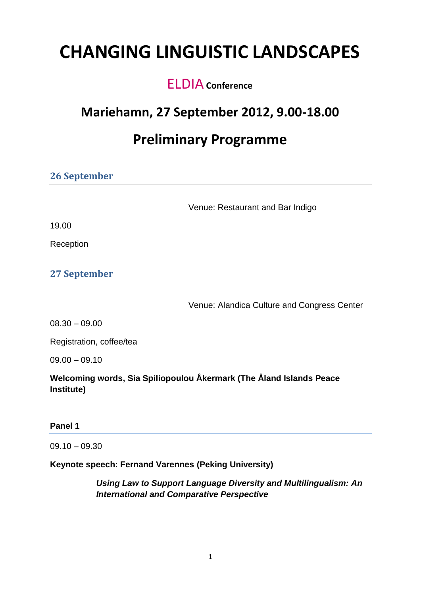# **CHANGING LINGUISTIC LANDSCAPES**

### Pre ELDIA**Conference**

### **Mariehamn, 27 September 2012, 9.00-18.00**

## **Preliminary Programme**

| <b>26 September</b>      |                                             |
|--------------------------|---------------------------------------------|
|                          | Venue: Restaurant and Bar Indigo            |
| 19.00                    |                                             |
| Reception                |                                             |
| <b>27 September</b>      |                                             |
|                          | Venue: Alandica Culture and Congress Center |
| $08.30 - 09.00$          |                                             |
| Registration, coffee/tea |                                             |
|                          |                                             |

09.00 – 09.10

**Welcoming words, Sia Spiliopoulou Åkermark (The Åland Islands Peace Institute)**

#### **Panel 1**

 $09.10 - 09.30$ 

#### **Keynote speech: Fernand Varennes (Peking University)**

*Using Law to Support Language Diversity and Multilingualism: An International and Comparative Perspective*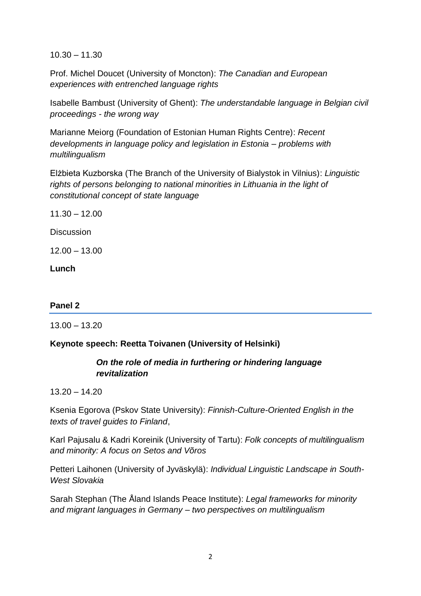10.30 – 11.30

Prof. Michel Doucet (University of Moncton): *The Canadian and European experiences with entrenched language rights*

Isabelle Bambust (University of Ghent): *The understandable language in Belgian civil proceedings - the wrong way*

Marianne Meiorg (Foundation of Estonian Human Rights Centre): *Recent developments in language policy and legislation in Estonia – problems with multilingualism*

Elżbieta Kuzborska (The Branch of the University of Bialystok in Vilnius): *Linguistic rights of persons belonging to national minorities in Lithuania in the light of constitutional concept of state language*

11.30 – 12.00

**Discussion** 

12.00 – 13.00

**Lunch**

#### **Panel 2**

13.00 – 13.20

#### **Keynote speech: Reetta Toivanen (University of Helsinki)**

#### *On the role of media in furthering or hindering language revitalization*

13.20 – 14.20

Ksenia Egorova (Pskov State University): *Finnish-Culture-Oriented English in the texts of travel guides to Finland*,

Karl Pajusalu & Kadri Koreinik (University of Tartu): *Folk concepts of multilingualism and minority: A focus on Setos and Võros*

Petteri Laihonen (University of Jyväskylä): *Individual Linguistic Landscape in South-West Slovakia*

Sarah Stephan (The Åland Islands Peace Institute): *Legal frameworks for minority and migrant languages in Germany – two perspectives on multilingualism*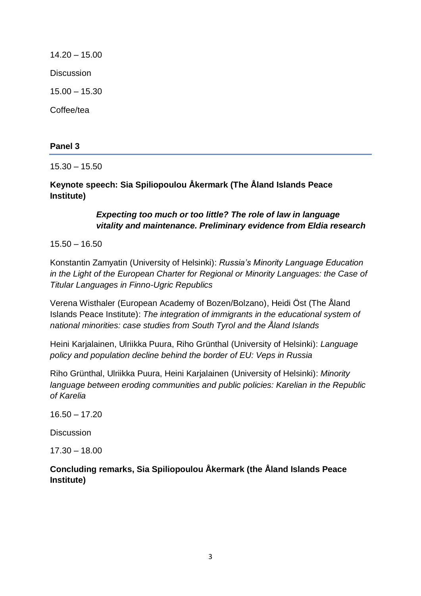14.20 – 15.00 **Discussion** 15.00 – 15.30 Coffee/tea

#### **Panel 3**

15.30 – 15.50

**Keynote speech: Sia Spiliopoulou Åkermark (The Åland Islands Peace Institute)**

#### *Expecting too much or too little? The role of law in language vitality and maintenance. Preliminary evidence from Eldia research*

15.50 – 16.50

Konstantin Zamyatin (University of Helsinki): *Russia's Minority Language Education in the Light of the European Charter for Regional or Minority Languages: the Case of Titular Languages in Finno-Ugric Republics* 

Verena Wisthaler (European Academy of Bozen/Bolzano), Heidi Öst (The Åland Islands Peace Institute): *The integration of immigrants in the educational system of national minorities: case studies from South Tyrol and the Åland Islands*

Heini Karjalainen, Ulriikka Puura, Riho Grünthal (University of Helsinki): *Language policy and population decline behind the border of EU: Veps in Russia*

Riho Grünthal, Ulriikka Puura, Heini Karjalainen (University of Helsinki): *Minority language between eroding communities and public policies: Karelian in the Republic of Karelia*

16.50 – 17.20

**Discussion** 

17.30 – 18.00

**Concluding remarks, Sia Spiliopoulou Åkermark (the Åland Islands Peace Institute)**